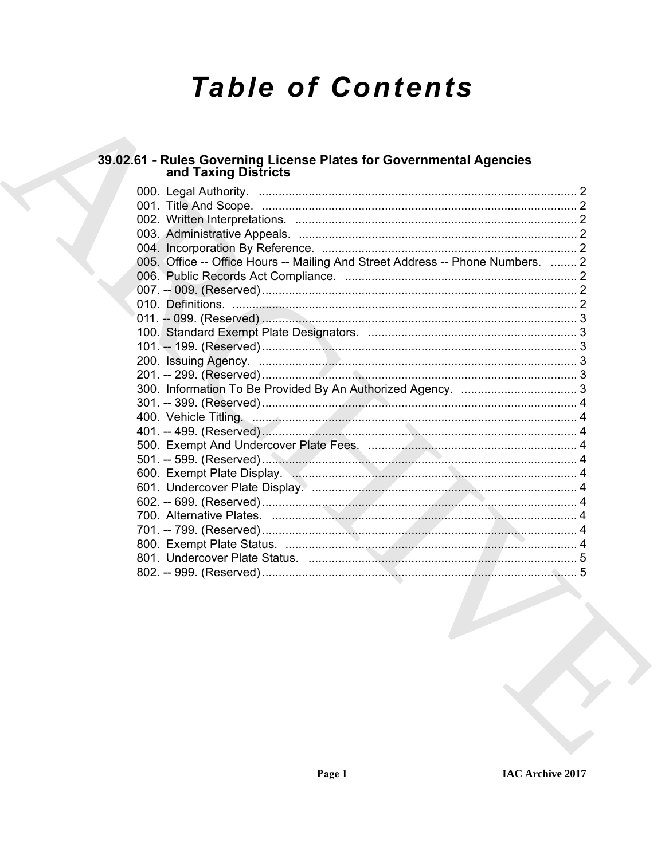# **Table of Contents**

# 39.02.61 - Rules Governing License Plates for Governmental Agencies<br>and Taxing Districts

| 005. Office -- Office Hours -- Mailing And Street Address -- Phone Numbers.  2 |  |
|--------------------------------------------------------------------------------|--|
|                                                                                |  |
|                                                                                |  |
|                                                                                |  |
|                                                                                |  |
|                                                                                |  |
|                                                                                |  |
|                                                                                |  |
|                                                                                |  |
|                                                                                |  |
|                                                                                |  |
|                                                                                |  |
|                                                                                |  |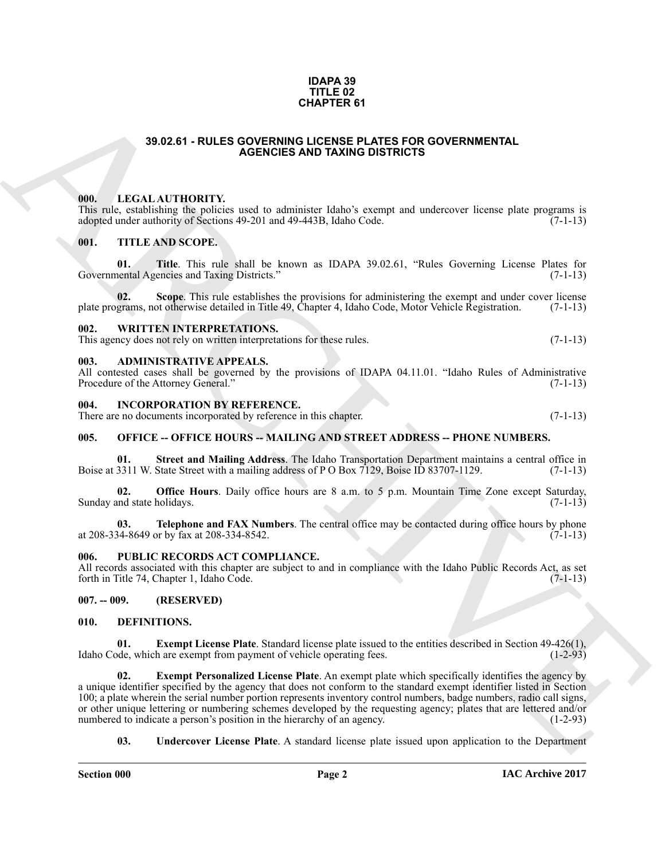#### **IDAPA 39 TITLE 02 CHAPTER 61**

#### **39.02.61 - RULES GOVERNING LICENSE PLATES FOR GOVERNMENTAL AGENCIES AND TAXING DISTRICTS**

#### <span id="page-1-1"></span><span id="page-1-0"></span>**000. LEGAL AUTHORITY.**

This rule, establishing the policies used to administer Idaho's exempt and undercover license plate programs is adopted under authority of Sections 49-201 and 49-443B, Idaho Code. (7-1-13) adopted under authority of Sections 49-201 and 49-443B, Idaho Code.

#### <span id="page-1-2"></span>**001. TITLE AND SCOPE.**

**01.** Title. This rule shall be known as IDAPA 39.02.61, "Rules Governing License Plates for nental Agencies and Taxing Districts." (7-1-13) Governmental Agencies and Taxing Districts."

**Scope**. This rule establishes the provisions for administering the exempt and under cover license of otherwise detailed in Title 49, Chapter 4, Idaho Code, Motor Vehicle Registration. (7-1-13) plate programs, not otherwise detailed in Title 49, Chapter 4, Idaho Code, Motor Vehicle Registration.

#### <span id="page-1-3"></span>**002. WRITTEN INTERPRETATIONS.**

This agency does not rely on written interpretations for these rules. (7-1-13)

#### <span id="page-1-4"></span>**003. ADMINISTRATIVE APPEALS.**

All contested cases shall be governed by the provisions of IDAPA 04.11.01. "Idaho Rules of Administrative Procedure of the Attorney General." (7-1-13)

#### <span id="page-1-5"></span>**004. INCORPORATION BY REFERENCE.**

There are no documents incorporated by reference in this chapter. (7-1-13)

#### <span id="page-1-6"></span>**005. OFFICE -- OFFICE HOURS -- MAILING AND STREET ADDRESS -- PHONE NUMBERS.**

**01.** Street and Mailing Address. The Idaho Transportation Department maintains a central office in 3311 W. State Street with a mailing address of P O Box 7129, Boise ID 83707-1129. (7-1-13) Boise at 3311 W. State Street with a mailing address of P O Box 7129, Boise ID 83707-1129.

**Office Hours**. Daily office hours are 8 a.m. to 5 p.m. Mountain Time Zone except Saturday, holidays. (7-1-13) Sunday and state holidays.

**03. Telephone and FAX Numbers**. The central office may be contacted during office hours by phone 34-8649 or by fax at 208-334-8542. at 208-334-8649 or by fax at 208-334-8542.

#### <span id="page-1-7"></span>**006. PUBLIC RECORDS ACT COMPLIANCE.**

All records associated with this chapter are subject to and in compliance with the Idaho Public Records Act, as set forth in Title 74, Chapter 1, Idaho Code. (7-1-13) forth in Title 74, Chapter 1, Idaho Code.

#### <span id="page-1-8"></span>**007. -- 009. (RESERVED)**

#### <span id="page-1-10"></span><span id="page-1-9"></span>**010. DEFINITIONS.**

<span id="page-1-12"></span><span id="page-1-11"></span>**01. Exempt License Plate**. Standard license plate issued to the entities described in Section 49-426(1), Idaho Code, which are exempt from payment of vehicle operating fees.

**39.02.61 - RULES GOVERNING CUCRER PATES FOR GOVERNMENTAL**<br> **ARCHIVES AND TAXING DISTRICTS** CONSULTED THE CONSULTED TRANSPORT CONSULTED THE CONSULTED CONSULTED THE CONSULTED CONSULTED THE CONSULTED CONSULTED CONSULTED THE **02. Exempt Personalized License Plate**. An exempt plate which specifically identifies the agency by a unique identifier specified by the agency that does not conform to the standard exempt identifier listed in Section 100; a plate wherein the serial number portion represents inventory control numbers, badge numbers, radio call signs, or other unique lettering or numbering schemes developed by the requesting agency; plates that are lettered and/or numbered to indicate a person's position in the hierarchy of an agency. (1-2-93)

<span id="page-1-13"></span>**03. Undercover License Plate**. A standard license plate issued upon application to the Department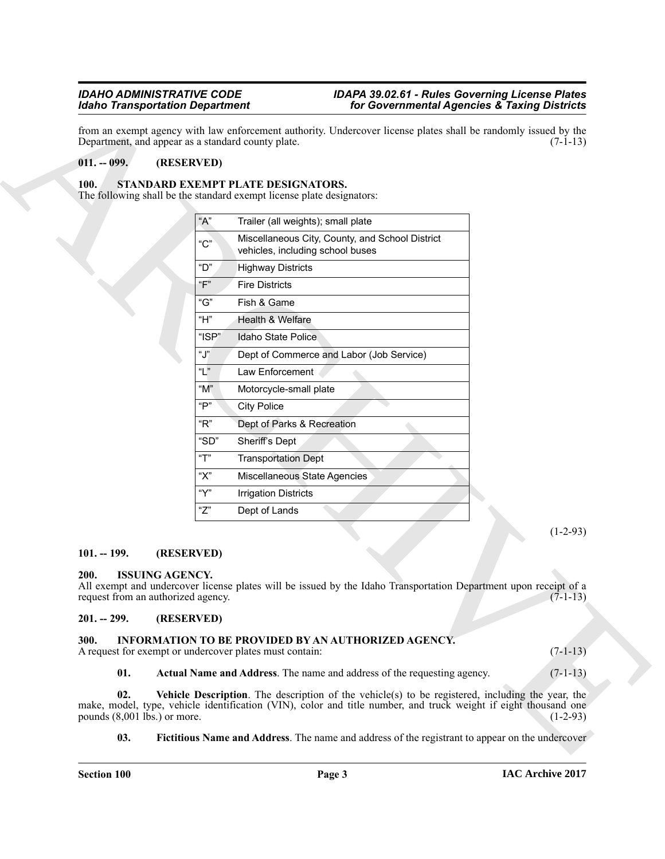#### <span id="page-2-0"></span>**011. -- 099. (RESERVED)**

#### <span id="page-2-11"></span><span id="page-2-1"></span>**100. STANDARD EXEMPT PLATE DESIGNATORS.**

|                                                                             | <b>Idaho Transportation Department</b>                                |                                                                                                                                                                                                                             | for Governmental Agencies & Taxing Districts |  |
|-----------------------------------------------------------------------------|-----------------------------------------------------------------------|-----------------------------------------------------------------------------------------------------------------------------------------------------------------------------------------------------------------------------|----------------------------------------------|--|
|                                                                             | Department, and appear as a standard county plate.                    | from an exempt agency with law enforcement authority. Undercover license plates shall be randomly issued by the                                                                                                             | $(7-1-13)$                                   |  |
| $011. - 099.$                                                               | (RESERVED)                                                            |                                                                                                                                                                                                                             |                                              |  |
| 100.                                                                        | STANDARD EXEMPT PLATE DESIGNATORS.                                    |                                                                                                                                                                                                                             |                                              |  |
|                                                                             | The following shall be the standard exempt license plate designators: |                                                                                                                                                                                                                             |                                              |  |
|                                                                             | "A"<br>Trailer (all weights); small plate                             |                                                                                                                                                                                                                             |                                              |  |
|                                                                             | "C"<br>vehicles, including school buses                               | Miscellaneous City, County, and School District                                                                                                                                                                             |                                              |  |
|                                                                             | " $D$ "<br><b>Highway Districts</b>                                   |                                                                                                                                                                                                                             |                                              |  |
|                                                                             | "F"<br><b>Fire Districts</b>                                          |                                                                                                                                                                                                                             |                                              |  |
|                                                                             | "G"<br>Fish & Game                                                    |                                                                                                                                                                                                                             |                                              |  |
|                                                                             | "H"<br>Health & Welfare                                               |                                                                                                                                                                                                                             |                                              |  |
|                                                                             | " $ISP"$<br>Idaho State Police                                        |                                                                                                                                                                                                                             |                                              |  |
|                                                                             | "J"                                                                   | Dept of Commerce and Labor (Job Service)                                                                                                                                                                                    |                                              |  |
|                                                                             | "L"<br>Law Enforcement                                                |                                                                                                                                                                                                                             |                                              |  |
|                                                                             | " $M$ "<br>Motorcycle-small plate                                     |                                                                                                                                                                                                                             |                                              |  |
|                                                                             | "P"<br><b>City Police</b>                                             |                                                                                                                                                                                                                             |                                              |  |
|                                                                             | " $R$ "<br>Dept of Parks & Recreation                                 |                                                                                                                                                                                                                             |                                              |  |
|                                                                             | "SD"<br>Sheriff's Dept                                                |                                                                                                                                                                                                                             |                                              |  |
|                                                                             | "T"<br><b>Transportation Dept</b>                                     |                                                                                                                                                                                                                             |                                              |  |
|                                                                             | "Х"<br>Miscellaneous State Agencies                                   |                                                                                                                                                                                                                             |                                              |  |
|                                                                             | "Y"<br><b>Irrigation Districts</b>                                    |                                                                                                                                                                                                                             |                                              |  |
|                                                                             | "Z"<br>Dept of Lands                                                  |                                                                                                                                                                                                                             |                                              |  |
|                                                                             |                                                                       |                                                                                                                                                                                                                             | $(1-2-93)$                                   |  |
| $101. - 199.$                                                               | (RESERVED)                                                            |                                                                                                                                                                                                                             |                                              |  |
| <b>ISSUING AGENCY.</b><br><b>200.</b><br>request from an authorized agency. |                                                                       | All exempt and undercover license plates will be issued by the Idaho Transportation Department upon receipt of a                                                                                                            | $(7-1-13)$                                   |  |
| $201. - 299.$                                                               | (RESERVED)                                                            |                                                                                                                                                                                                                             |                                              |  |
| 300.                                                                        | A request for exempt or undercover plates must contain:               | <b>INFORMATION TO BE PROVIDED BY AN AUTHORIZED AGENCY.</b>                                                                                                                                                                  | $(7-1-13)$                                   |  |
| 01.                                                                         |                                                                       | Actual Name and Address. The name and address of the requesting agency.                                                                                                                                                     | $(7-1-13)$                                   |  |
| 02.<br>pounds $(8,001$ lbs.) or more.                                       |                                                                       | <b>Vehicle Description</b> . The description of the vehicle(s) to be registered, including the year, the<br>make, model, type, vehicle identification (VIN), color and title number, and truck weight if eight thousand one | $(1-2-93)$                                   |  |
| 03.                                                                         |                                                                       | <b>Fictitious Name and Address</b> . The name and address of the registrant to appear on the undercover                                                                                                                     |                                              |  |

#### <span id="page-2-2"></span>**101. -- 199. (RESERVED)**

#### <span id="page-2-10"></span><span id="page-2-3"></span>**200. ISSUING AGENCY.**

#### <span id="page-2-4"></span>**201. -- 299. (RESERVED)**

#### <span id="page-2-9"></span><span id="page-2-8"></span><span id="page-2-7"></span><span id="page-2-6"></span><span id="page-2-5"></span>**300. INFORMATION TO BE PROVIDED BY AN AUTHORIZED AGENCY.**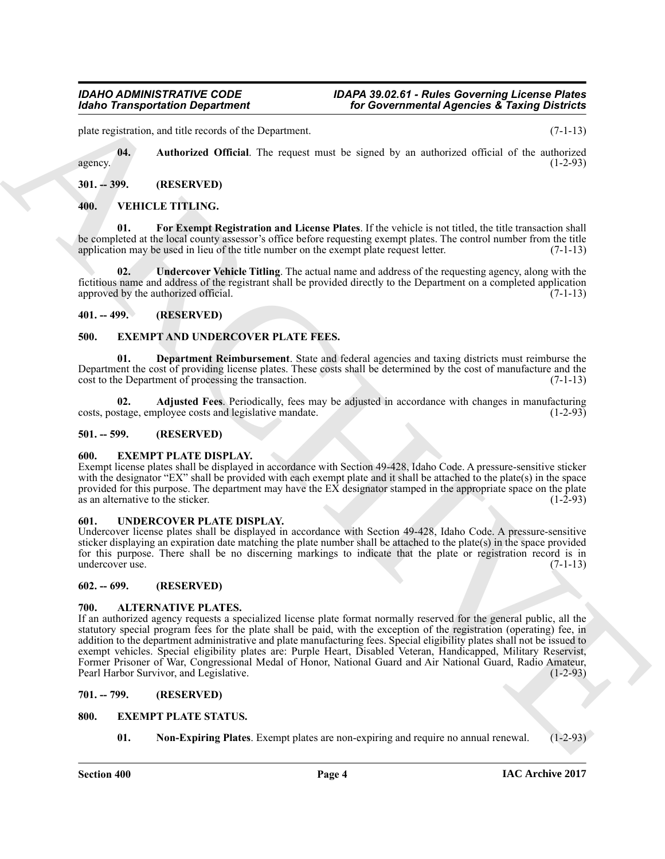#### *IDAHO ADMINISTRATIVE CODE IDAPA 39.02.61 - Rules Governing License Plates <i>Idaho Governmental Agencies & Taxing Districts*

plate registration, and title records of the Department. (7-1-13)

<span id="page-3-18"></span>**04. Authorized Official**. The request must be signed by an authorized official of the authorized agency.  $(1-2-93)$ 

#### <span id="page-3-0"></span>**301. -- 399. (RESERVED)**

### <span id="page-3-21"></span><span id="page-3-20"></span><span id="page-3-1"></span>**400. VEHICLE TITLING.**

**01. For Exempt Registration and License Plates**. If the vehicle is not titled, the title transaction shall be completed at the local county assessor's office before requesting exempt plates. The control number from the title application may be used in lieu of the title number on the exempt plate request letter. (7-1-13) application may be used in lieu of the title number on the exempt plate request letter.

<span id="page-3-22"></span>**02. Undercover Vehicle Titling**. The actual name and address of the requesting agency, along with the fictitious name and address of the registrant shall be provided directly to the Department on a completed application approved by the authorized official.  $(7-1-13)$ 

#### <span id="page-3-2"></span>**401. -- 499. (RESERVED)**

### <span id="page-3-12"></span><span id="page-3-3"></span>**500. EXEMPT AND UNDERCOVER PLATE FEES.**

<span id="page-3-14"></span>**01. Department Reimbursement**. State and federal agencies and taxing districts must reimburse the Department the cost of providing license plates. These costs shall be determined by the cost of manufacture and the cost to the Department of processing the transaction. (7-1-13)

<span id="page-3-13"></span>**02. Adjusted Fees**. Periodically, fees may be adjusted in accordance with changes in manufacturing stage, employee costs and legislative mandate. (1-2-93) costs, postage, employee costs and legislative mandate.

#### <span id="page-3-4"></span>**501. -- 599. (RESERVED)**

#### <span id="page-3-15"></span><span id="page-3-5"></span>**600. EXEMPT PLATE DISPLAY.**

Exempt license plates shall be displayed in accordance with Section 49-428, Idaho Code. A pressure-sensitive sticker with the designator "EX" shall be provided with each exempt plate and it shall be attached to the plate(s) in the space provided for this purpose. The department may have the  $EX$  designator stamped in the appropriate space on the plate as an alternative to the sticker.  $(1-2-93)$ as an alternative to the sticker.

#### <span id="page-3-19"></span><span id="page-3-6"></span>**601. UNDERCOVER PLATE DISPLAY.**

Undercover license plates shall be displayed in accordance with Section 49-428, Idaho Code. A pressure-sensitive sticker displaying an expiration date matching the plate number shall be attached to the plate(s) in the space provided for this purpose. There shall be no discerning markings to indicate that the plate or registration record is in undercover use. (7-1-13) undercover use.

#### <span id="page-3-7"></span>**602. -- 699. (RESERVED)**

#### <span id="page-3-11"></span><span id="page-3-8"></span>**700. ALTERNATIVE PLATES.**

**Example the second of the Universe Constraint of the Constraint Agencies & Training the Constraint Agencies And Social Space of the second training and the second training of the second training of the second training a** If an authorized agency requests a specialized license plate format normally reserved for the general public, all the statutory special program fees for the plate shall be paid, with the exception of the registration (operating) fee, in addition to the department administrative and plate manufacturing fees. Special eligibility plates shall not be issued to exempt vehicles. Special eligibility plates are: Purple Heart, Disabled Veteran, Handicapped, Military Reservist, Former Prisoner of War, Congressional Medal of Honor, National Guard and Air National Guard, Radio Amateur, Pearl Harbor Survivor, and Legislative. Pearl Harbor Survivor, and Legislative.

### <span id="page-3-9"></span>**701. -- 799. (RESERVED)**

#### <span id="page-3-10"></span>**800. EXEMPT PLATE STATUS.**

<span id="page-3-17"></span><span id="page-3-16"></span>**01. Non-Expiring Plates**. Exempt plates are non-expiring and require no annual renewal. (1-2-93)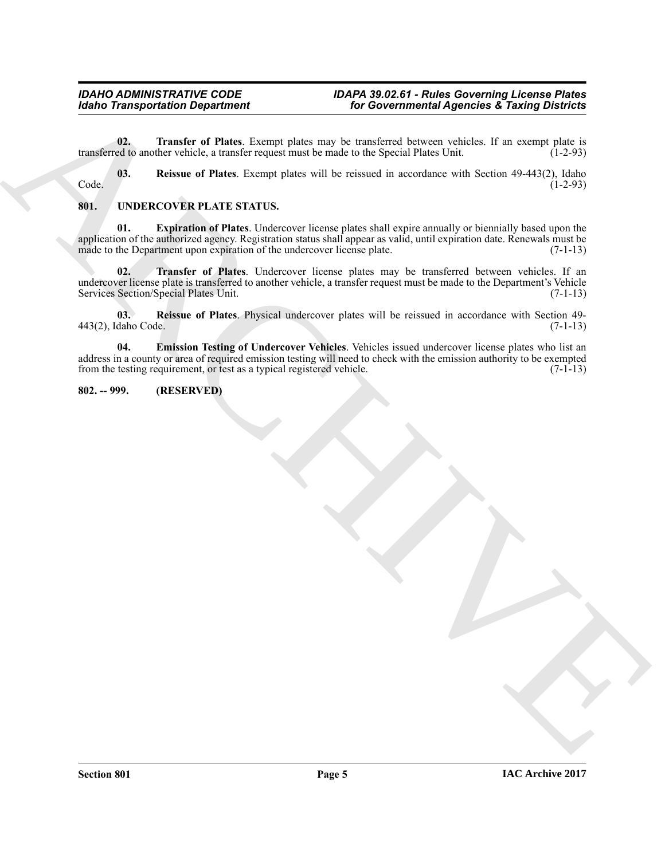<span id="page-4-3"></span>**02. Transfer of Plates**. Exempt plates may be transferred between vehicles. If an exempt plate is ed to another vehicle, a transfer request must be made to the Special Plates Unit. (1-2-93) transferred to another vehicle, a transfer request must be made to the Special Plates Unit.

<span id="page-4-2"></span>**03. Reissue of Plates**. Exempt plates will be reissued in accordance with Section 49-443(2), Idaho Code. (1-2-93)

### <span id="page-4-6"></span><span id="page-4-4"></span><span id="page-4-0"></span>**801. UNDERCOVER PLATE STATUS.**

**Excelse Transportation Department**  $\frac{1}{2}$  **and the University Concerning Control 2. The Concerning Control 2.**<br>
The model of Plats. Except plats on the twisted in according to the specific state of the Specific State 1. **01. Expiration of Plates**. Undercover license plates shall expire annually or biennially based upon the application of the authorized agency. Registration status shall appear as valid, until expiration date. Renewals must be made to the Department upon expiration of the undercover license plate. (7-1-13)

<span id="page-4-8"></span>**02. Transfer of Plates**. Undercover license plates may be transferred between vehicles. If an undercover license plate is transferred to another vehicle, a transfer request must be made to the Department's Vehicle Services Section/Special Plates Unit. (7-1-13)

<span id="page-4-7"></span>**03. Reissue of Plates**. Physical undercover plates will be reissued in accordance with Section 49- 443(2), Idaho Code. (7-1-13)

<span id="page-4-5"></span>**04. Emission Testing of Undercover Vehicles**. Vehicles issued undercover license plates who list an address in a county or area of required emission testing will need to check with the emission authority to be exempted<br>from the testing requirement, or test as a typical registered vehicle. (7-1-13) from the testing requirement, or test as a typical registered vehicle.

### <span id="page-4-1"></span>**802. -- 999. (RESERVED)**